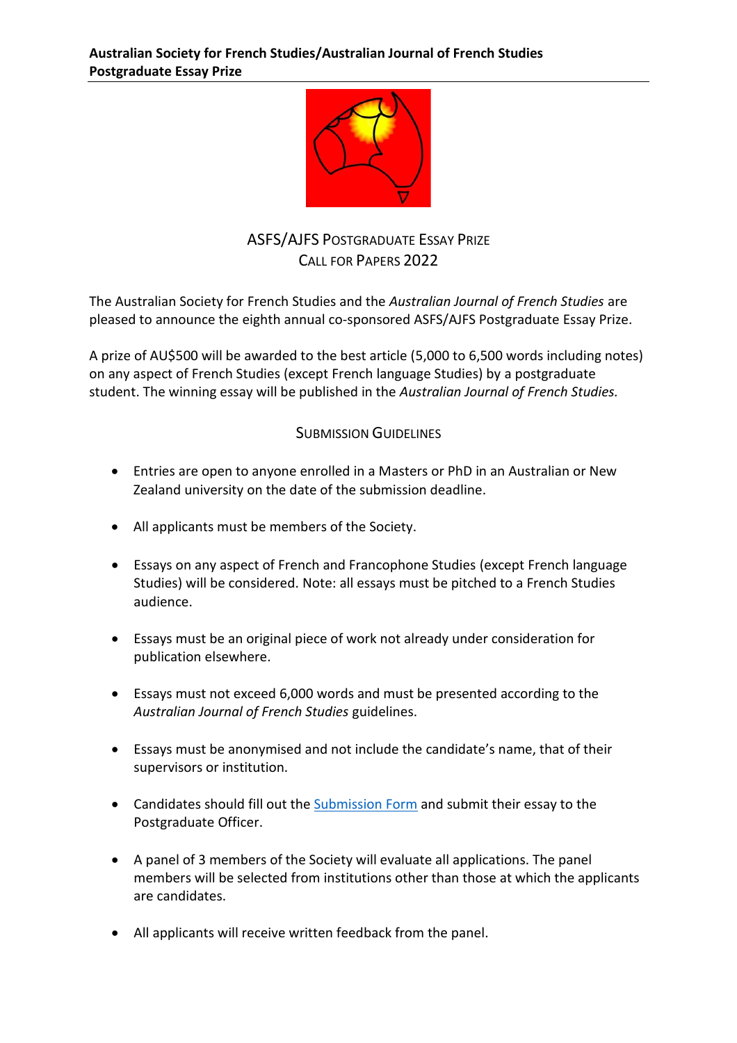

## ASFS/AJFS POSTGRADUATE ESSAY PRIZE CALL FOR PAPERS 2022

The Australian Society for French Studies and the *Australian Journal of French Studies* are pleased to announce the eighth annual co-sponsored ASFS/AJFS Postgraduate Essay Prize.

A prize of AU\$500 will be awarded to the best article (5,000 to 6,500 words including notes) on any aspect of French Studies (except French language Studies) by a postgraduate student. The winning essay will be published in the *Australian Journal of French Studies.* 

## SUBMISSION GUIDELINES

- Entries are open to anyone enrolled in a Masters or PhD in an Australian or New Zealand university on the date of the submission deadline.
- All applicants must be members of the Society.
- Essays on any aspect of French and Francophone Studies (except French language Studies) will be considered. Note: all essays must be pitched to a French Studies audience.
- Essays must be an original piece of work not already under consideration for publication elsewhere.
- Essays must not exceed 6,000 words and must be presented according to the *Australian Journal of French Studies* guidelines.
- Essays must be anonymised and not include the candidate's name, that of their supervisors or institution.
- Candidates should fill out the [Submission Form](https://forms.office.com/r/2NDX7B7Gtr) and submit their essay to the Postgraduate Officer.
- A panel of 3 members of the Society will evaluate all applications. The panel members will be selected from institutions other than those at which the applicants are candidates.
- All applicants will receive written feedback from the panel.